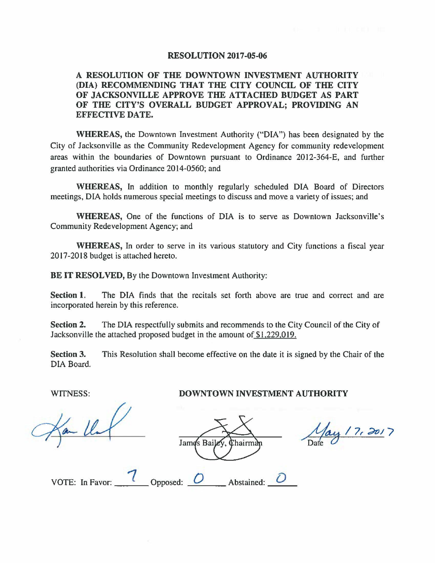## **RESOLUTION 2017-05-06**

## **A RESOLUTION OF THE DOWNTOWN INVESTMENT AUTHORITY (DIA) RECOMMENDING THAT THE CITY COUNCIL OF THE CITY OF JACKSONVILLE APPROVE THE ATTACHED BUDGET AS PART OF THE CITY'S OVERALL BUDGET APPROVAL; PROVIDING AN EFFECTIVE DATE.**

**WHEREAS,** the Downtown Investment Authority ("DIA") has been designated by the City of Jacksonville as the Community Redevelopment Agency for community redevelopment areas within the boundaries of Downtown pursuant to Ordinance 2012-364-E, and further granted authorities via Ordinance 2014-0560; and

**WHEREAS,** In addition to monthly regularly scheduled DIA Board of Directors meetings, DIA holds numerous special meetings to discuss and move a variety of issues; and

**WHEREAS,** One of the functions of DIA is to serve as Downtown Jacksonville's Community Redevelopment Agency; and

**WHEREAS,** In order to serve in its various statutory and City functions a fiscal year 2017-2018 budget is attached hereto.

**BE IT RESOLVED, By the Downtown Investment Authority:** 

**Section 1.** The DIA finds that the recitals set forth above are true and correct and are incorporated herein by this reference.

**Section 2.** The DIA respectfully submits and recommends to the City Council of the City of Jacksonville the attached proposed budget in the amount of \$1,229.019.

**Section 3.** This Resolution shall become effective on the date it is signed by the Chair of the DIA Board.

James Baile Chairman

May 17, 2017

| VOTE: In Favor: | Opposed: | Abstained <sup>.</sup> |  |
|-----------------|----------|------------------------|--|
|                 |          |                        |  |

WITNESS: **DOWNTOWN INVESTMENT AUTHORITY**